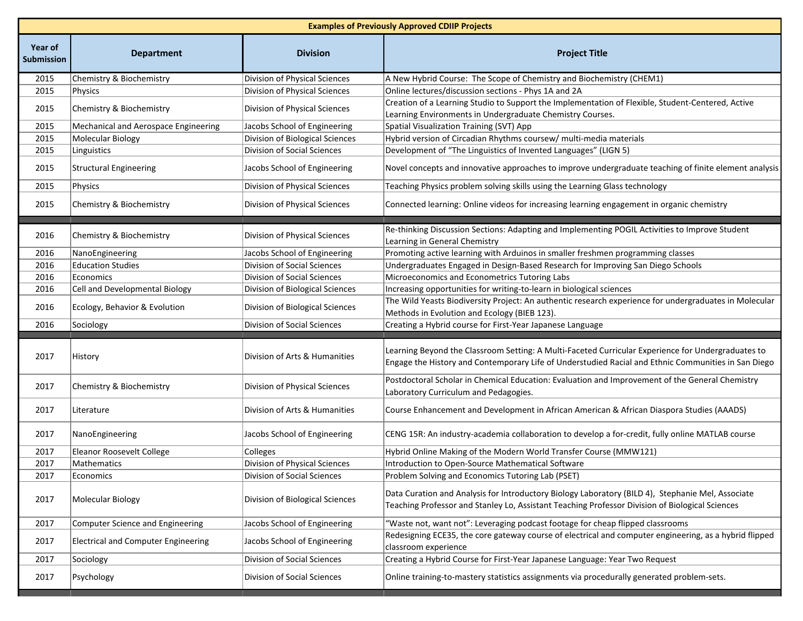|                              | <b>Examples of Previously Approved CDIIP Projects</b> |                                 |                                                                                                                                                                                                           |  |  |  |
|------------------------------|-------------------------------------------------------|---------------------------------|-----------------------------------------------------------------------------------------------------------------------------------------------------------------------------------------------------------|--|--|--|
| Year of<br><b>Submission</b> | <b>Department</b>                                     | <b>Division</b>                 | <b>Project Title</b>                                                                                                                                                                                      |  |  |  |
| 2015                         | Chemistry & Biochemistry                              | Division of Physical Sciences   | A New Hybrid Course: The Scope of Chemistry and Biochemistry (CHEM1)                                                                                                                                      |  |  |  |
| 2015                         | Physics                                               | Division of Physical Sciences   | Online lectures/discussion sections - Phys 1A and 2A                                                                                                                                                      |  |  |  |
| 2015                         | Chemistry & Biochemistry                              | Division of Physical Sciences   | Creation of a Learning Studio to Support the Implementation of Flexible, Student-Centered, Active<br>Learning Environments in Undergraduate Chemistry Courses.                                            |  |  |  |
| 2015                         | Mechanical and Aerospace Engineering                  | Jacobs School of Engineering    | Spatial Visualization Training (SVT) App                                                                                                                                                                  |  |  |  |
| 2015                         | Molecular Biology                                     | Division of Biological Sciences | Hybrid version of Circadian Rhythms coursew/ multi-media materials                                                                                                                                        |  |  |  |
| 2015                         | Linguistics                                           | Division of Social Sciences     | Development of "The Linguistics of Invented Languages" (LIGN 5)                                                                                                                                           |  |  |  |
| 2015                         | <b>Structural Engineering</b>                         | Jacobs School of Engineering    | Novel concepts and innovative approaches to improve undergraduate teaching of finite element analysis                                                                                                     |  |  |  |
| 2015                         | Physics                                               | Division of Physical Sciences   | Teaching Physics problem solving skills using the Learning Glass technology                                                                                                                               |  |  |  |
| 2015                         | Chemistry & Biochemistry                              | Division of Physical Sciences   | Connected learning: Online videos for increasing learning engagement in organic chemistry                                                                                                                 |  |  |  |
| 2016                         | Chemistry & Biochemistry                              | Division of Physical Sciences   | Re-thinking Discussion Sections: Adapting and Implementing POGIL Activities to Improve Student<br>Learning in General Chemistry                                                                           |  |  |  |
| 2016                         | NanoEngineering                                       | Jacobs School of Engineering    | Promoting active learning with Arduinos in smaller freshmen programming classes                                                                                                                           |  |  |  |
| 2016                         | <b>Education Studies</b>                              | Division of Social Sciences     | Undergraduates Engaged in Design-Based Research for Improving San Diego Schools                                                                                                                           |  |  |  |
| 2016                         | Economics                                             | Division of Social Sciences     | Microeconomics and Econometrics Tutoring Labs                                                                                                                                                             |  |  |  |
| 2016                         | Cell and Developmental Biology                        | Division of Biological Sciences | Increasing opportunities for writing-to-learn in biological sciences                                                                                                                                      |  |  |  |
| 2016                         | Ecology, Behavior & Evolution                         | Division of Biological Sciences | The Wild Yeasts Biodiversity Project: An authentic research experience for undergraduates in Molecular<br>Methods in Evolution and Ecology (BIEB 123).                                                    |  |  |  |
| 2016                         | Sociology                                             | Division of Social Sciences     | Creating a Hybrid course for First-Year Japanese Language                                                                                                                                                 |  |  |  |
| 2017                         | History                                               | Division of Arts & Humanities   | Learning Beyond the Classroom Setting: A Multi-Faceted Curricular Experience for Undergraduates to<br>Engage the History and Contemporary Life of Understudied Racial and Ethnic Communities in San Diego |  |  |  |
| 2017                         | Chemistry & Biochemistry                              | Division of Physical Sciences   | Postdoctoral Scholar in Chemical Education: Evaluation and Improvement of the General Chemistry<br>Laboratory Curriculum and Pedagogies.                                                                  |  |  |  |
| 2017                         | Literature                                            | Division of Arts & Humanities   | Course Enhancement and Development in African American & African Diaspora Studies (AAADS)                                                                                                                 |  |  |  |
| 2017                         | NanoEngineering                                       | Jacobs School of Engineering    | CENG 15R: An industry-academia collaboration to develop a for-credit, fully online MATLAB course                                                                                                          |  |  |  |
| 2017                         | Eleanor Roosevelt College                             | Colleges                        | Hybrid Online Making of the Modern World Transfer Course (MMW121)                                                                                                                                         |  |  |  |
| 2017                         | Mathematics                                           | Division of Physical Sciences   | Introduction to Open-Source Mathematical Software                                                                                                                                                         |  |  |  |
| 2017                         | Economics                                             | Division of Social Sciences     | Problem Solving and Economics Tutoring Lab (PSET)                                                                                                                                                         |  |  |  |
| 2017                         | Molecular Biology                                     | Division of Biological Sciences | Data Curation and Analysis for Introductory Biology Laboratory (BILD 4), Stephanie Mel, Associate<br>Teaching Professor and Stanley Lo, Assistant Teaching Professor Division of Biological Sciences      |  |  |  |
| 2017                         | <b>Computer Science and Engineering</b>               | Jacobs School of Engineering    | "Waste not, want not": Leveraging podcast footage for cheap flipped classrooms                                                                                                                            |  |  |  |
| 2017                         | <b>Electrical and Computer Engineering</b>            | Jacobs School of Engineering    | Redesigning ECE35, the core gateway course of electrical and computer engineering, as a hybrid flipped<br>classroom experience                                                                            |  |  |  |
| 2017                         | Sociology                                             | Division of Social Sciences     | Creating a Hybrid Course for First-Year Japanese Language: Year Two Request                                                                                                                               |  |  |  |
| 2017                         | Psychology                                            | Division of Social Sciences     | Online training-to-mastery statistics assignments via procedurally generated problem-sets.                                                                                                                |  |  |  |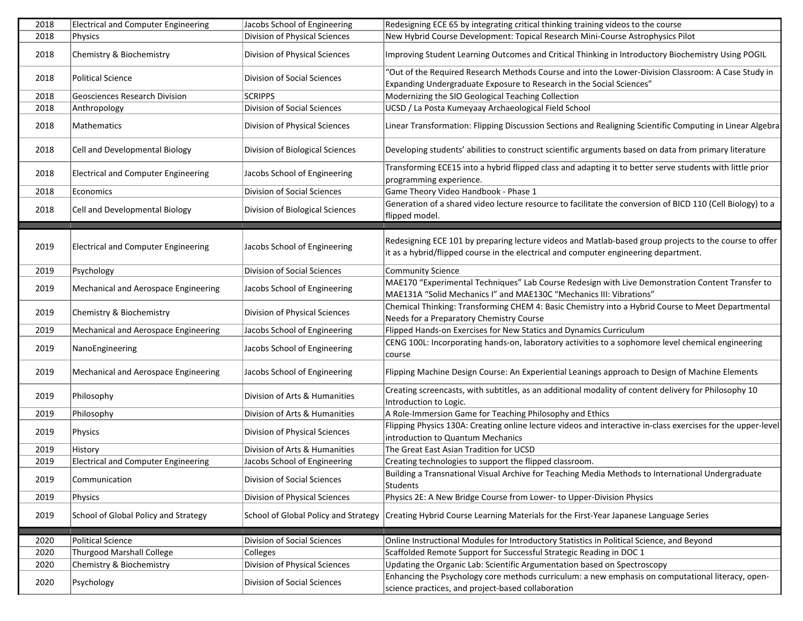| 2018 | <b>Electrical and Computer Engineering</b> | Jacobs School of Engineering         | Redesigning ECE 65 by integrating critical thinking training videos to the course                                                                                                              |
|------|--------------------------------------------|--------------------------------------|------------------------------------------------------------------------------------------------------------------------------------------------------------------------------------------------|
| 2018 | <b>Physics</b>                             | Division of Physical Sciences        | New Hybrid Course Development: Topical Research Mini-Course Astrophysics Pilot                                                                                                                 |
| 2018 | Chemistry & Biochemistry                   | Division of Physical Sciences        | Improving Student Learning Outcomes and Critical Thinking in Introductory Biochemistry Using POGIL                                                                                             |
|      | <b>Political Science</b>                   |                                      | "Out of the Required Research Methods Course and into the Lower-Division Classroom: A Case Study in                                                                                            |
| 2018 |                                            | Division of Social Sciences          | Expanding Undergraduate Exposure to Research in the Social Sciences"                                                                                                                           |
| 2018 | Geosciences Research Division              | <b>SCRIPPS</b>                       | Modernizing the SIO Geological Teaching Collection                                                                                                                                             |
| 2018 | Anthropology                               | Division of Social Sciences          | UCSD / La Posta Kumeyaay Archaeological Field School                                                                                                                                           |
| 2018 | Mathematics                                | Division of Physical Sciences        | Linear Transformation: Flipping Discussion Sections and Realigning Scientific Computing in Linear Algebra                                                                                      |
| 2018 | Cell and Developmental Biology             | Division of Biological Sciences      | Developing students' abilities to construct scientific arguments based on data from primary literature                                                                                         |
| 2018 | <b>Electrical and Computer Engineering</b> | Jacobs School of Engineering         | Transforming ECE15 into a hybrid flipped class and adapting it to better serve students with little prior<br>programming experience.                                                           |
| 2018 | Economics                                  | Division of Social Sciences          | Game Theory Video Handbook - Phase 1                                                                                                                                                           |
| 2018 | Cell and Developmental Biology             | Division of Biological Sciences      | Generation of a shared video lecture resource to facilitate the conversion of BICD 110 (Cell Biology) to a<br>flipped model.                                                                   |
|      |                                            |                                      |                                                                                                                                                                                                |
| 2019 | <b>Electrical and Computer Engineering</b> | Jacobs School of Engineering         | Redesigning ECE 101 by preparing lecture videos and Matlab-based group projects to the course to offer<br>it as a hybrid/flipped course in the electrical and computer engineering department. |
| 2019 | Psychology                                 | Division of Social Sciences          | <b>Community Science</b>                                                                                                                                                                       |
| 2019 | Mechanical and Aerospace Engineering       | Jacobs School of Engineering         | MAE170 "Experimental Techniques" Lab Course Redesign with Live Demonstration Content Transfer to<br>MAE131A "Solid Mechanics I" and MAE130C "Mechanics III: Vibrations"                        |
| 2019 | Chemistry & Biochemistry                   | Division of Physical Sciences        | Chemical Thinking: Transforming CHEM 4: Basic Chemistry into a Hybrid Course to Meet Departmental<br>Needs for a Preparatory Chemistry Course                                                  |
| 2019 | Mechanical and Aerospace Engineering       | Jacobs School of Engineering         | Flipped Hands-on Exercises for New Statics and Dynamics Curriculum                                                                                                                             |
| 2019 | NanoEngineering                            | Jacobs School of Engineering         | CENG 100L: Incorporating hands-on, laboratory activities to a sophomore level chemical engineering<br>course                                                                                   |
| 2019 | Mechanical and Aerospace Engineering       | Jacobs School of Engineering         | Flipping Machine Design Course: An Experiential Leanings approach to Design of Machine Elements                                                                                                |
| 2019 | Philosophy                                 | Division of Arts & Humanities        | Creating screencasts, with subtitles, as an additional modality of content delivery for Philosophy 10<br>Introduction to Logic.                                                                |
| 2019 | Philosophy                                 | Division of Arts & Humanities        | A Role-Immersion Game for Teaching Philosophy and Ethics                                                                                                                                       |
| 2019 | Physics                                    | Division of Physical Sciences        | Flipping Physics 130A: Creating online lecture videos and interactive in-class exercises for the upper-level<br>introduction to Quantum Mechanics                                              |
| 2019 | History                                    | Division of Arts & Humanities        | The Great East Asian Tradition for UCSD                                                                                                                                                        |
| 2019 | <b>Electrical and Computer Engineering</b> | Jacobs School of Engineering         | Creating technologies to support the flipped classroom.                                                                                                                                        |
| 2019 | Communication                              | Division of Social Sciences          | Building a Transnational Visual Archive for Teaching Media Methods to International Undergraduate<br>Students                                                                                  |
| 2019 | Physics                                    | Division of Physical Sciences        | Physics 2E: A New Bridge Course from Lower- to Upper-Division Physics                                                                                                                          |
| 2019 | School of Global Policy and Strategy       | School of Global Policy and Strategy | Creating Hybrid Course Learning Materials for the First-Year Japanese Language Series                                                                                                          |
| 2020 | <b>Political Science</b>                   | Division of Social Sciences          | Online Instructional Modules for Introductory Statistics in Political Science, and Beyond                                                                                                      |
| 2020 | <b>Thurgood Marshall College</b>           | Colleges                             | Scaffolded Remote Support for Successful Strategic Reading in DOC 1                                                                                                                            |
| 2020 | Chemistry & Biochemistry                   | Division of Physical Sciences        | Updating the Organic Lab: Scientific Argumentation based on Spectroscopy                                                                                                                       |
| 2020 | Psychology                                 | Division of Social Sciences          | Enhancing the Psychology core methods curriculum: a new emphasis on computational literacy, open-<br>science practices, and project-based collaboration                                        |